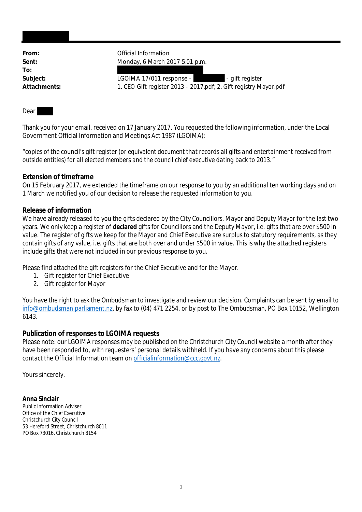**To:**

From: **From:** Official Information Sent: **Monday, 6 March 2017 5:01 p.m.** 

Subject: LGOIMA 17/011 response - - - - gift register **Attachments:** 1. CEO Gift register 2013 - 2017.pdf; 2. Gift registry Mayor.pdf

### Dear

Thank you for your email, received on 17 January 2017. You requested the following information, under the Local Government Official Information and Meetings Act 1987 (LGOIMA):

"*copies of the council's gift register (or equivalent document that records all gifts and entertainment received from outside entities) for all elected members and the council chief executive dating back to 2013.*"

### **Extension of timeframe**

On 15 February 2017, we extended the timeframe on our response to you by an additional ten working days and on 1 March we notified you of our decision to release the requested information to you.

### **Release of information**

We have already released to you the gifts declared by the City Councillors, Mayor and Deputy Mayor for the last two years. We only keep a register of **declared** gifts for Councillors and the Deputy Mayor, i.e. gifts that are over \$500 in value. The register of gifts we keep for the Mayor and Chief Executive are surplus to statutory requirements, as they contain gifts of any value, i.e. gifts that are both over and under \$500 in value. This is why the attached registers include gifts that were not included in our previous response to you.

Please find attached the gift registers for the Chief Executive and for the Mayor.

- 1. Gift register for Chief Executive
- 2. Gift register for Mayor

You have the right to ask the Ombudsman to investigate and review our decision. Complaints can be sent by email to info@ombudsman.parliament.nz, by fax to (04) 471 2254, or by post to The Ombudsman, PO Box 10152, Wellington 6143.

### **Publication of responses to LGOIMA requests**

Please note: our LGOIMA responses may be published on the Christchurch City Council website a month after they have been responded to, with requesters' personal details withheld. If you have any concerns about this please contact the Official Information team on officialinformation@ccc.govt.nz.

Yours sincerely,

**Anna Sinclair** Public Information Adviser Office of the Chief Executive Christchurch City Council 53 Hereford Street, Christchurch 8011 PO Box 73016, Christchurch 8154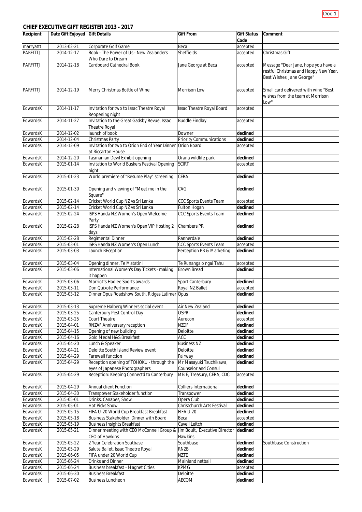# **CHIEF EXECUTIVE GIFT REGISTER 2013 - 2017**

| Recipient                   | Date Gift Enjoyed        | <b>Gift Details</b>                                                                       | <b>Gift From</b>                                       | <b>Gift Status</b><br>Code | Comment                                                                                                   |
|-----------------------------|--------------------------|-------------------------------------------------------------------------------------------|--------------------------------------------------------|----------------------------|-----------------------------------------------------------------------------------------------------------|
| marryattt                   | 2013-02-21               | <b>Corporate Golf Game</b>                                                                | Beca                                                   | accepted                   |                                                                                                           |
| <b>PARFITTJ</b>             | 2014-12-17               | Book - The Power of Us - New Zealanders<br>Who Dare to Dream                              | Sheffields                                             | accepted                   | Christmas Gift                                                                                            |
| PARFITTJ                    | 2014-12-18               | <b>Cardboard Cathedral Book</b>                                                           | Jane George at Beca                                    | accepted                   | Message "Dear Jane, hope you have a<br>restful Christmas and Happy New Year.<br>Best Wishes, Jane George" |
| PARFITTJ                    | 2014-12-19               | Merry Christmas Bottle of Wine                                                            | Morrison Low                                           | accepted                   | Small card delivered with wine "Best<br>wishes from the team at Morrison<br>Low"                          |
| EdwardsK                    | 2014-11-17               | Invitation for two to Issac Theatre Royal<br>Reopening night                              | <b>Issac Theatre Royal Board</b>                       | accepted                   |                                                                                                           |
| EdwardsK                    | 2014-11-27               | Invitation to the Great Gadsby Revue, Issac<br>Theatre Royal                              | <b>Buddle Findlay</b>                                  | accepted                   |                                                                                                           |
| EdwardsK                    | 2014-12-02               | launch of book                                                                            | Downer                                                 | declined                   |                                                                                                           |
| EdwardsK                    | 2014-12-04               | <b>Christmas Party</b>                                                                    | <b>Priority Communications</b>                         | declined                   |                                                                                                           |
| EdwardsK                    | 2014-12-09               | Invitation for two to Orion End of Year Dinner<br>at Riccarton House                      | <b>Orion Board</b>                                     | accepted                   |                                                                                                           |
| EdwardsK                    | 2014-12-20               | Tasmanian Devil Exhibit opening                                                           | Orana wildlife park                                    | declined                   |                                                                                                           |
| EdwardsK                    | 2015-01-14               | Invitation to World Buskers Festival Opening<br>night                                     | <b>SCIRT</b>                                           | accepted                   |                                                                                                           |
| EdwardsK                    | 2015-01-23               | World premiere of "Resume Play" screening                                                 | <b>CERA</b>                                            | declined                   |                                                                                                           |
| EdwardsK                    | 2015-01-30               | Opening and viewing of "Meet me in the<br>Square"                                         | CAG                                                    | declined                   |                                                                                                           |
| EdwardsK                    | 2015-02-14               | Cricket World Cup NZ vs Sri Lanka                                                         | <b>CCC Sports Events Team</b>                          | accepted                   |                                                                                                           |
| EdwardsK                    | 2015-02-14               | Cricket World Cup NZ vs Sri Lanka                                                         | <b>Fulton Hogan</b>                                    | declined                   |                                                                                                           |
| EdwardsK                    | 2015-02-24               | ISPS Handa NZ Women's Open Welcome<br>Party                                               | <b>CCC Sports Events Team</b>                          | declined                   |                                                                                                           |
| EdwardsK                    | 2015-02-28               | ISPS Handa NZ Women's Open VIP Hosting 2<br>days                                          | <b>Chambers PR</b>                                     | declined                   |                                                                                                           |
| EdwardsK                    | 2015-02-28               | <b>Regimental Dinner</b>                                                                  | Rannerdale                                             | declined                   |                                                                                                           |
| EdwardsK                    | 2015-03-01               | ISPS Handa NZ Women's Open Lunch                                                          | <b>CCC Sports Events Team</b>                          | accepted                   |                                                                                                           |
| EdwardsK                    | 2015-03-03               | Launch REception                                                                          | Perception PR & Marketing                              | declined                   |                                                                                                           |
| EdwardsK                    | 2015-03-04               | Opening dinner, Te Matatini                                                               | Te Runanga o ngai Tahu                                 | accepted                   |                                                                                                           |
| EdwardsK                    | 2015-03-06               | International Women's Day Tickets - making<br>it happen                                   | <b>Brown Bread</b>                                     | declined                   |                                                                                                           |
| EdwardsK                    | 2015-03-06               | Marriotts Hadlee Sports awards                                                            | Sport Canterbury                                       | declined                   |                                                                                                           |
| EdwardsK                    | 2015-03-11               | Don Quixote Performance                                                                   | Royal NZ Ballet                                        | accepted                   |                                                                                                           |
| EdwardsK                    | 2015-03-12               | Dinner Opus Roadshow South, Ridges Latimer Opus                                           |                                                        | declined                   |                                                                                                           |
| EdwardsK                    | 2015-03-13               | Supreme Halberg Winners social event                                                      | Air New Zealand                                        | declined                   |                                                                                                           |
| EdwardsK                    | 2015-03-25               | Canterbury Pest Control Day                                                               | <b>OSPRI</b>                                           | declined                   |                                                                                                           |
| EdwardsK                    | 2015-03-25               | <b>Court Theatre</b>                                                                      | Aurecon                                                | accepted                   |                                                                                                           |
| EdwardsK                    | 2015-04-01               | <b>RNZAF Anniversary reception</b>                                                        | <b>NZDF</b>                                            | declined                   |                                                                                                           |
| EdwardsK                    | 2015-04-15               | Opening of new building                                                                   | Deloitte                                               | declined                   |                                                                                                           |
| EdwardsK                    | 2015-04-16               | <b>Gold Medal H&amp;S Breakfast</b>                                                       | <b>ACC</b>                                             | declined                   |                                                                                                           |
| EdwardsK                    | 2015-04-20               | Lunch & Speaker                                                                           | <b>Business NZ</b>                                     | declined                   |                                                                                                           |
| EdwardsK                    | 2015-04-21               | Deloitte South Island Review event                                                        | Deloitte                                               | declined                   |                                                                                                           |
| EdwardsK                    | 2015-04-29               | <b>Farewell function</b>                                                                  | Fairway                                                | declined                   |                                                                                                           |
| EdwardsK                    | 2015-04-29               | Reception opening of TOHOKU - through the<br>eyes of Japanese Photographers               | Mr Masayuki Tsuchikawa,<br><b>Counselor and Consul</b> | declined                   |                                                                                                           |
| EdwardsK                    | 2015-04-29               | Reception: Keeping Connectd to Canterbury                                                 | MBIE, Treasury, CERA, CDC                              | accepted                   |                                                                                                           |
| EdwardsK                    | 2015-04-29               | Annual client Function                                                                    | <b>Colliers International</b>                          | declined                   |                                                                                                           |
| EdwardsK                    | 2015-04-30               | Transpower Stakeholder function                                                           | Transpower                                             | declined                   |                                                                                                           |
| EdwardsK                    | 2015-05-01               | Drinks, Canapes, Show                                                                     | Opera Club                                             | declined                   |                                                                                                           |
| EdwardsK                    | 2015-05-01               | <b>Hot Picks Show</b>                                                                     | Christchurch Arts Festival                             | declined                   |                                                                                                           |
| EdwardsK                    | 2015-05-15               | FIFA U-20 World Cup Breakfast Breakfast                                                   | FIFA U 20                                              | declined                   |                                                                                                           |
| <b>EdwardsK</b><br>EdwardsK | 2015-05-18<br>2015-05-19 | Business Stakeholder Dinner with Board<br><b>Business Insights Breakfast</b>              | Beca<br>Cavell Leitch                                  | accepted<br>declined       |                                                                                                           |
| EdwardsK                    | 2015-05-21               | Dinner meeting with CEO McConnell Group & Jim Boult, Executive Director<br>CEO of Hawkins | <b>Hawkins</b>                                         | declined                   |                                                                                                           |
| EdwardsK                    | 2015-05-22               | 2 Year Celebration Soutbase                                                               | Southbase                                              | declined                   | Southbase Construction                                                                                    |
| EdwardsK                    | 2015-05-29               | Salute Ballet, Issac Theatre Royal                                                        | <b>RNZB</b>                                            | declined                   |                                                                                                           |
| EdwardsK                    | 2015-06-05               | FIFA under 20 World Cup                                                                   | <b>NZTE</b>                                            | declined                   |                                                                                                           |
| EdwardsK                    | 2015-06-24               | <b>Drinks and Dinner</b>                                                                  | Mainland netball                                       | declined                   |                                                                                                           |
| EdwardsK                    | 2015-06-24               | <b>Business breakfast - Magnet Cities</b>                                                 | <b>KPMG</b>                                            | accepted                   |                                                                                                           |
| EdwardsK                    | 2015-06-30               | <b>Business Breakfast</b>                                                                 | Deloitte                                               | declined                   |                                                                                                           |
| EdwardsK                    | 2015-07-02               | <b>Business Luncheon</b>                                                                  | <b>AECOM</b>                                           | declined                   |                                                                                                           |

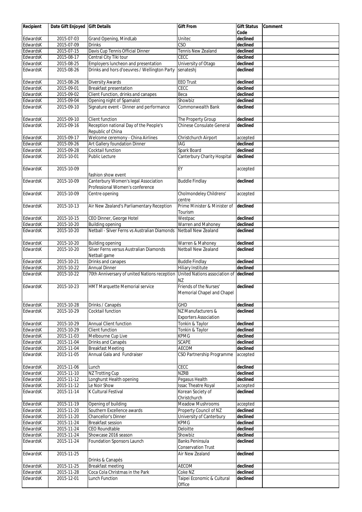| Recipient | Date Gift Enjoyed | <b>Gift Details</b>                           | <b>Gift From</b>                 | <b>Gift Status</b> | Comment |
|-----------|-------------------|-----------------------------------------------|----------------------------------|--------------------|---------|
|           |                   |                                               |                                  | Code               |         |
| EdwardsK  | 2015-07-03        | <b>Grand Opening, MindLab</b>                 | Unitec                           | declined           |         |
| EdwardsK  | 2015-07-09        | <b>Drinks</b>                                 | CSO                              | declined           |         |
| EdwardsK  | 2015-07-15        |                                               | Tennis New Zealand               | declined           |         |
|           |                   | Davis Cup Tennis Official Dinner              |                                  |                    |         |
| EdwardsK  | 2015-08-17        | Central City Tiki tour                        | CECC                             | declined           |         |
| EdwardsK  | 2015-08-25        | Employers luncheon and presentation           | University of Otago              | declined           |         |
| EdwardsK  | 2015-08-26        | Drinks and hors d'oeuvres / Wellington Party  | senateshj                        | declined           |         |
|           |                   |                                               |                                  |                    |         |
| EdwardsK  | 2015-08-26        | <b>Diversity Awards</b>                       | <b>EEO Trust</b>                 | declined           |         |
| EdwardsK  | 2015-09-01        | <b>Breakfast presentation</b>                 | CECC                             | declined           |         |
| EdwardsK  | 2015-09-02        | Client Function, drinks and canapes           | Beca                             | declined           |         |
|           |                   |                                               |                                  |                    |         |
| EdwardsK  | 2015-09-04        | Opening night of Spamalot                     | Showbiz                          | declined           |         |
| EdwardsK  | 2015-09-10        | Signature event - Dinner and performance      | Commonwealth Bank                | declined           |         |
|           |                   |                                               |                                  |                    |         |
| EdwardsK  | 2015-09-10        | <b>Client function</b>                        | The Property Group               | declined           |         |
| EdwardsK  | 2015-09-16        | Reception national Day of the People's        | <b>Chinese Consulate General</b> | declined           |         |
|           |                   | Republic of China                             |                                  |                    |         |
| EdwardsK  | 2015-09-17        | Welcome ceremony - China Airlines             | Christchurch Airport             | accepted           |         |
| EdwardsK  | 2015-09-26        | Art Gallery foundation Dinner                 | <b>IAG</b>                       | declined           |         |
| EdwardsK  | 2015-09-28        | Cocktail function                             | Spark Board                      | declined           |         |
|           |                   |                                               | Canterbury Charity Hospital      |                    |         |
| EdwardsK  | 2015-10-01        | Public Lecture                                |                                  | declined           |         |
|           |                   |                                               |                                  |                    |         |
| EdwardsK  | 2015-10-09        |                                               | EY                               | accepted           |         |
|           |                   | fashion show event                            |                                  |                    |         |
| EdwardsK  | 2015-10-09        | Canterbury Women's legal Association          | <b>Buddle Findlay</b>            | declined           |         |
|           |                   | Professional Women's conference               |                                  |                    |         |
| EdwardsK  | 2015-10-09        | Centre opening                                | Cholmondeley Childrens'          | accepted           |         |
|           |                   |                                               | centre                           |                    |         |
| EdwardsK  | 2015-10-13        | Air New Zealand's Parliamentary Reception     | Prime Minister & Minister of     | declined           |         |
|           |                   |                                               |                                  |                    |         |
|           |                   |                                               | Tourism                          |                    |         |
| EdwardsK  | 2015-10-15        | CEO Dinner, George Hotel                      | Westpac                          | declined           |         |
| EdwardsK  | 2015-10-20        | <b>Building opening</b>                       | Warren and Mahoney               | declined           |         |
| EdwardsK  | 2015-10-20        | Netball - Silver Ferns vs Australian Diamonds | Netball New Zealand              | declined           |         |
|           |                   |                                               |                                  |                    |         |
| EdwardsK  | 2015-10-20        | <b>Building opening</b>                       | Warren & Mahoney                 | declined           |         |
| EdwardsK  | 2015-10-20        | Silver Ferns versus Australian Diamonds       | <b>Netball New Zealand</b>       | declined           |         |
|           |                   | Netball game                                  |                                  |                    |         |
| EdwardsK  | 2015-10-21        | Drinks and canapes                            | <b>Buddle Findlay</b>            | declined           |         |
|           |                   |                                               |                                  |                    |         |
| EdwardsK  | 2015-10-22        | <b>Annual Dinner</b>                          | <b>Hiliary Institute</b>         | declined           |         |
| EdwardsK  | 2015-10-22        | 70th Anniversary of united Nations reception  | United Nations association of    | declined           |         |
|           |                   |                                               | <b>NZ</b>                        |                    |         |
| EdwardsK  | 2015-10-23        | HMT Marquette Memorial service                | Friends of the Nurses'           | declined           |         |
|           |                   |                                               | Memorial Chapel and Chapel       |                    |         |
|           |                   |                                               |                                  |                    |         |
| EdwardsK  | 2015-10-28        | Drinks / Canapés                              | <b>GHD</b>                       | declined           |         |
| EdwardsK  | 2015-10-29        | Cocktail function                             | NZ Manufacturers &               | declined           |         |
|           |                   |                                               |                                  |                    |         |
|           |                   |                                               | <b>Exporters Association</b>     |                    |         |
| EdwardsK  | 2015-10-29        | <b>Annual Client function</b>                 | Tonkin & Taylor                  | declined           |         |
| EdwardsK  | 2015-10-29        | <b>Client function</b>                        | Tonkin & Taylor                  | declined           |         |
| EdwardsK  | 2015-11-03        | Melbourne Cup Live                            | <b>KPMG</b>                      | declined           |         |
| EdwardsK  | 2015-11-04        | Drinks and Canapés                            | <b>SCAPE</b>                     | declined           |         |
| EdwardsK  | 2015-11-04        | <b>Breakfast Meeting</b>                      | <b>AECOM</b>                     | declined           |         |
| EdwardsK  | 2015-11-05        | Annual Gala and Fundraiser                    | CSO Partnership Programme        | accepted           |         |
|           |                   |                                               |                                  |                    |         |
| EdwardsK  | 2015-11-06        | Lunch                                         | CECC                             | declined           |         |
|           |                   |                                               | <b>NZRB</b>                      |                    |         |
| EdwardsK  | 2015-11-10        | <b>NZ Trotting Cup</b>                        |                                  | declined           |         |
| EdwardsK  | 2015-11-12        | Longhurst Health opening                      | Pegasus Health                   | declined           |         |
| EdwardsK  | 2015-11-12        | Le Noir Show                                  | <b>Issac Theatre Royal</b>       | accepted           |         |
| EdwardsK  | 2015-11-14        | K Cultural Festival                           | Korean Society of                | declined           |         |
|           |                   |                                               | Christchurch                     |                    |         |
| EdwardsK  | 2015-11-19        | Opening of building                           | <b>Meadow Mushrooms</b>          | accepted           |         |
| EdwardsK  | 2015-11-20        | Southern Excellence awards                    | Property Council of NZ           | declined           |         |
| EdwardsK  | 2015-11-20        | <b>Chancellor's Dinner</b>                    | University of Canterbury         | declined           |         |
| EdwardsK  | 2015-11-24        | <b>Breakfast session</b>                      | <b>KPMG</b>                      | declined           |         |
| EdwardsK  | 2015-11-24        | <b>CEO Roundtable</b>                         | Deloitte                         | declined           |         |
|           |                   |                                               |                                  |                    |         |
| EdwardsK  | 2015-11-24        | Showcase 2016 season                          | Showbiz                          | declined           |         |
| EdwardsK  | 2015-11-24        | <b>Foundation Sponsors Launch</b>             | <b>Banks Peninsula</b>           | declined           |         |
|           |                   |                                               | <b>Conservation Trust</b>        |                    |         |
| EdwardsK  | 2015-11-25        |                                               | Air New Zealand                  | declined           |         |
|           |                   | Drinks & Canapés                              |                                  |                    |         |
| EdwardsK  | 2015-11-25        | <b>Breakfast meeting</b>                      | <b>AECOM</b>                     | declined           |         |
| EdwardsK  | 2015-11-28        | Coca Cola Christmas in the Park               | Coke NZ                          | declined           |         |
| EdwardsK  | 2015-12-01        | Lunch Function                                | Taipei Economic & Cultural       | declined           |         |
|           |                   |                                               |                                  |                    |         |
|           |                   |                                               | Office                           |                    |         |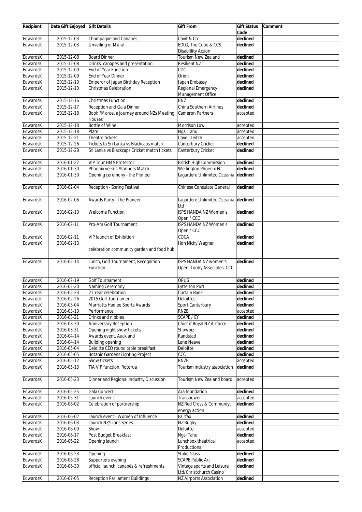| Recipient | Date Gift Enjoyed | <b>Gift Details</b>                                | <b>Gift From</b>                     | <b>Gift Status</b><br>Code | Comment |
|-----------|-------------------|----------------------------------------------------|--------------------------------------|----------------------------|---------|
| EdwardsK  | 2015-12-03        |                                                    | Cavit & Co                           | declined                   |         |
| EdwardsK  | 2015-12-03        | Champagne and Canapés<br><b>Unveiling of Mural</b> | EDLG, The Cube & CCS                 | declined                   |         |
|           |                   |                                                    |                                      |                            |         |
|           |                   |                                                    | <b>Disablility Action</b>            |                            |         |
| EdwardsK  | 2015-12-08        | <b>Board Dinner</b>                                | <b>Tourism New Zealand</b>           | declined                   |         |
| EdwardsK  | 2015-12-08        | Drinks. canapés and presentation                   | <b>Resilient NZ</b>                  | declined                   |         |
| EdwardsK  | 2015-12-09        | <b>End of Year Function</b>                        | CDC                                  | declined                   |         |
| EdwardsK  | 2015-12-09        | End of Year Dinner                                 | Orion                                | declined                   |         |
| EdwardsK  | 2015-12-10        | <b>Emperor of Japan Birthday Reception</b>         | Japan Embassy                        | declined                   |         |
| EdwardsK  | 2015-12-10        | <b>Christmas Celebration</b>                       | Regional Emergency                   | declined                   |         |
|           |                   |                                                    | Management Office                    |                            |         |
| EdwardsK  | 2015-12-16        | <b>Christmas Function</b>                          | <b>BNZ</b>                           | declined                   |         |
| EdwardsK  | 2015-12-17        | Reception and Gala Dinner                          | <b>China Southern Airlines</b>       | declined                   |         |
| EdwardsK  | 2015-12-18        | Book "Marae, a journey around NZs Meeting          | <b>Cameron Partners</b>              | accepted                   |         |
|           |                   | Houses"                                            |                                      |                            |         |
| EdwardsK  | 2015-12-18        | <b>Bottle of Wine</b>                              | Morrison Low                         | accepted                   |         |
| EdwardsK  | 2015-12-18        | Plate                                              | Ngai Tahu                            | accepted                   |         |
| EdwardsK  | 2015-12-21        | Theatre tickets                                    | Cavell Leitch                        | accepted                   |         |
| EdwardsK  | 2015-12-26        | Tickets to Sri Lanka vs Blackcaps match            | Canterbury Cricket                   | declined                   |         |
| EdwardsK  | 2015-12-28        | Sri Lanka vs Blackcaps Cricket match tickets       | Canterbury Cricket                   | declined                   |         |
|           |                   |                                                    |                                      |                            |         |
| EdwardsK  | 2016-01-22        | <b>VIP Tour HMS Protector</b>                      | <b>British High Commission</b>       | declined                   |         |
| EdwardsK  | 2016-01-30        | Phoenix versus Mariners Match                      | Wellington Phoenix FC                | declined                   |         |
| EdwardsK  | 2016-01-30        | Opening ceremony - the Pioneer                     | Lagardere Unlimited Oceania          | declined                   |         |
|           |                   |                                                    |                                      |                            |         |
| EdwardsK  | 2016-02-04        | Reception - Spring Festival                        | <b>Chinese Consulate General</b>     | declined                   |         |
|           |                   |                                                    |                                      |                            |         |
|           | 2016-02-06        |                                                    |                                      |                            |         |
| EdwardsK  |                   | Awards Party - The Pioneer                         | Lagardere Unlimited Oceania declined |                            |         |
|           |                   |                                                    | Ltd                                  |                            |         |
| EdwardsK  | 2016-02-10        | <b>Welcome Function</b>                            | <b>ISPS HANDA NZ Women's</b>         | declined                   |         |
|           |                   |                                                    | Open / CCC                           |                            |         |
| EdwardsK  | 2016-02-11        | Pro-Am Golf Tournament                             | <b>ISPS HANDA NZ Women's</b>         | declined                   |         |
|           |                   |                                                    | Open / CCC                           |                            |         |
| EdwardsK  | 2016-02-11        | VIP launch of Exhibition                           | COCA                                 | declined                   |         |
| EdwardsK  | 2016-02-13        |                                                    | Hon Nicky Wagner                     | declined                   |         |
|           |                   | celebration community garden and food hub          |                                      |                            |         |
|           |                   |                                                    |                                      |                            |         |
| EdwardsK  | 2016-02-14        | Lunch, Golf Tournament, Recognition                | ISPS HANDA NZ women's                | declined                   |         |
|           |                   | Function                                           | Open, Tuohy Associates, CCC          |                            |         |
|           |                   |                                                    |                                      |                            |         |
| EdwardsK  | 2016-02-19        | <b>Golf Tournament</b>                             | OPUS                                 | declined                   |         |
| EdwardsK  | 2016-02-20        | Naming Ceremony                                    | Lyttelton Port                       | declined                   |         |
| EdwardsK  | 2016-02-23        | 21 Year celebration                                | <b>Curtain Bank</b>                  | declined                   |         |
| EdwardsK  | 2016-02-26        | 2015 Golf Tournament                               | <b>Deloittes</b>                     | declined                   |         |
| EdwardsK  | 2016-03-04        | <b>Marriotts Hadlee Sports Awards</b>              | Sport Canterbury                     | declined                   |         |
| EdwardsK  | 2016-03-10        | Performance                                        | <b>RNZB</b>                          | accepted                   |         |
| EdwardsK  | 2016-03-21        | Drinks and nibbles                                 | SCAPE / EY                           | declined                   |         |
| EdwardsK  | 2016-03-30        | <b>Anniversary Reception</b>                       | Chief if Royal NZ Airforce           | declined                   |         |
| EdwardsK  | 2016-03-31        | Opening night show tickets                         | Showbiz                              | declined                   |         |
|           |                   | Awards event, Auckland                             | Randstad                             |                            |         |
| EdwardsK  | 2016-04-14        |                                                    |                                      | declined                   |         |
| EdwardsK  | 2016-04-14        | <b>Building opening</b>                            | Lane Neave                           | declined                   |         |
| EdwardsK  | 2016-05-04        | Deloitte CEO round table breakfast                 | Deloitte                             | declined                   |         |
| EdwardsK  | 2016-05-05        | <b>Botanic Gardens Lighting Project</b>            | CCC                                  | declined                   |         |
| EdwardsK  | 2016-05-12        | Show tickets                                       | <b>RNZB</b>                          | accepted                   |         |
| EdwardsK  | 2016-05-13        | TIA VIP function, Rotorua                          | Tourism industry association         | declined                   |         |
|           |                   |                                                    |                                      |                            |         |
| EdwardsK  | 2016-05-23        | Dinner and Regional Industry Discussion            | Tourism New Zealand board            | accepted                   |         |
|           |                   |                                                    |                                      |                            |         |
| EdwardsK  | 2016-05-25        | Gala Concert                                       | Ara foundation                       | declined                   |         |
| EdwardsK  | 2016-05-31        | Launch event                                       | Transpower                           | accepted                   |         |
| EdwardsK  | 2016-06-02        | Celebration of partnership                         | NZ Red Cross & Communiyt             | declined                   |         |
|           |                   |                                                    | energy action                        |                            |         |
| EdwardsK  | 2016-06-02        | Launch event - Women of Influence                  | Fairfax                              | declined                   |         |
| EdwardsK  | 2016-06-03        | Launch NZ/Lions Series                             | NZ Rugby                             | declined                   |         |
| EdwardsK  | 2016-06-09        | Show                                               | Deloitte                             | accepted                   |         |
| EdwardsK  | 2016-06-17        | Post Budget Breakfast                              | Ngai Tahu                            | declined                   |         |
| EdwardsK  | 2016-06-22        | Opening launch                                     | Lunchbox theatrical                  |                            |         |
|           |                   |                                                    |                                      | accepted                   |         |
|           |                   |                                                    | Productions                          |                            |         |
| EdwardsK  | 2016-06-23        | Opening                                            | <b>Stake Glass</b>                   | declined                   |         |
| EdwardsK  | 2016-06-28        | Supporters evening                                 | <b>SCAPE Public Art</b>              | declined                   |         |
| EdwardsK  | 2016-06-30        | official launch, canapés & refreshments            | Vintage sports and Leisure           | declined                   |         |
|           |                   |                                                    | Ltd/Christchurch Casino              |                            |         |
| EdwardsK  | 2016-07-05        | <b>Reception Parliament Buildings</b>              | <b>NZ Airports Association</b>       | declined                   |         |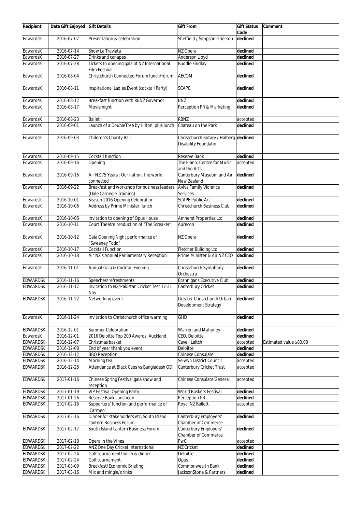| Recipient                          | Date Gift Enjoyed        | <b>Gift Details</b>                                                     | <b>Gift From</b>                                                      | <b>Gift Status</b><br>Code | Comment                 |
|------------------------------------|--------------------------|-------------------------------------------------------------------------|-----------------------------------------------------------------------|----------------------------|-------------------------|
| EdwardsK                           | 2016-07-07               | Presentation & celebration                                              | Sheffield / Simpson Grierson                                          | declined                   |                         |
| EdwardsK                           | 2016-07-14               | Show La Traviata                                                        | NZ Opera                                                              | declined                   |                         |
| EdwardsK                           | 2016-07-27               | Drinks and canapes                                                      | Anderson Lloyd                                                        | declined                   |                         |
| EdwardsK                           | 2016-07-28               | Tickets to opening gala of NZ International                             | <b>Buddle Findlay</b>                                                 | declined                   |                         |
|                                    |                          | <b>Film Festival</b>                                                    |                                                                       |                            |                         |
| EdwardsK                           | 2016-08-04               | Christchurch Connected Forum lunch/forum                                | <b>AECOM</b>                                                          | declined                   |                         |
| EdwardsK                           | 2016-08-11               | Inspirational Ladies Event (cocktail Party)                             | <b>SCAPE</b>                                                          | declined                   |                         |
| EdwardsK                           | 2016-08-12               | <b>Breakfast function with RBNZ Governor</b>                            | <b>BNZ</b>                                                            | declined                   |                         |
| EdwardsK                           | 2016-08-17               | Movie night                                                             | Perception PR & Marketing                                             | declined                   |                         |
| EdwardsK                           | 2016-08-23               | <b>Ballet</b>                                                           | <b>RBNZ</b>                                                           | accepted                   |                         |
| EdwardsK                           | 2016-09-01               | Launch of a DoubleTree by Hilton; plus lunch                            | Chateau on the Park                                                   | declined                   |                         |
| EdwardsK                           | 2016-09-03               | <b>Children's Charity Ball</b>                                          | Christchurch Rotary / Halberg declined<br><b>Disability Foundatio</b> |                            |                         |
| EdwardsK                           | 2016-09-15               | Cocktail function                                                       | <b>Reserve Bank</b>                                                   | declined                   |                         |
| EdwardsK                           | 2016-09-16               | Opening                                                                 | The Piano: Centre for Music<br>and the Arts                           | accepted                   |                         |
| EdwardsK                           | 2016-09-16               | Air NZ 75 Years: Our nation, the world<br>connected                     | Canterbury Museum and Air<br>New Zealand                              | declined                   |                         |
| EdwardsK                           | 2016-09-22               | Breakfast and workshop for business leaders<br>(Dale Carnegie Training) | <b>Aviva Family Violence</b><br>Services                              | declined                   |                         |
| EdwardsK                           | 2016-10-01               | Season 2016 Opening Celebration                                         | <b>SCAPE Public Art</b>                                               | declined                   |                         |
| EdwardsK                           | 2016-10-06               | Address by Prime Minister; lunch                                        | <b>Christchurch Business Club</b>                                     | declined                   |                         |
| EdwardsK                           | 2016-10-06               | Invitation to opening of Opus House                                     | <b>Amherst Properties Ltd</b>                                         | declined                   |                         |
| EdwardsK                           | 2016-10-11               | Court Theatre production of "The Streaker"                              | Aurecon                                                               | declined                   |                         |
| EdwardsK                           | 2016-10-12               | Gala Opening Night performance of<br>'Sweeney Todd"                     | NZ Opera                                                              | declined                   |                         |
| EdwardsK                           | 2016-10-17               | <b>Cocktail Function</b>                                                | Fletcher Building Ltd                                                 | declined                   |                         |
| EdwardsK                           | 2016-10-18               | Air NZ's Annual Parliamentary Reception                                 | Prime Minister & Air NZ CEO                                           | declined                   |                         |
| EdwardsK                           | 2016-11-01               | Annual Gala & Cocktail Evening                                          | Christchurch Symphony<br>Orchestra                                    | declined                   |                         |
| <b>EDWARDSK</b>                    | 2016-11-16               | Speeches/refreshments                                                   | <b>Brannigans Executive Club</b>                                      | declined                   |                         |
| <b>EDWARDSK</b>                    | 2016-11-17               | Invitation to NZ/Pakistan Cricket Test 17-21<br>Nov                     | Canterbury Cricket                                                    | declined                   |                         |
| <b>EDWARDSK</b>                    | 2016-11-22               | Networking event                                                        | Greater Christchurch Urban<br><b>Development Strategy</b>             | declined                   |                         |
| EdwardsK                           | 2016-11-24               | Invitation to Christchurch office warming                               | <b>GHD</b>                                                            | declined                   |                         |
| <b>EDWARDSK</b>                    | 2016-12-01               | <b>Summer Celebration</b>                                               | Warren and Mahoney                                                    | declined                   |                         |
| EdwardsK                           | 2016-12-01               | 2016 Deloitte Top 200 Awards, Auckland                                  | CEO, Deloitte                                                         | declined                   |                         |
| <b>EDWARDSK</b>                    | 2016-12-07               | Christmas basket                                                        | Cavell Leitch                                                         | accepted                   | Estimated value \$80.00 |
| <b>EDWARDSK</b>                    | 2016-12-08               | End of year thank you event                                             | Deloitte                                                              | declined                   |                         |
| <b>EDWARDSK</b>                    | 2016-12-12               | <b>BBQ</b> Reception                                                    | <b>Chinese Consulate</b>                                              | declined                   |                         |
| <b>EDWARDSK</b><br><b>EDWARDSK</b> | 2016-12-14<br>2016-12-26 | Morning tea<br>Attendance at Black Caps vs Bangladesh ODI               | Selwyn District Council<br>Canterbury Cricket Trust                   | accepted<br>accepted       |                         |
| <b>EDWARDSK</b>                    | 2017-01-16               | Chinese Spring Festival gala show and                                   | <b>Chinese Consulate General</b>                                      | accepted                   |                         |
| <b>EDWARDSK</b>                    | 2017-01-19               | reception<br><b>VIP Festival Opening Party</b>                          | <b>World Buskers Festival</b>                                         | declined                   |                         |
| <b>EDWARDSK</b>                    | 2017-01-26               | Reserve Bank Luncheon                                                   | Perception PR                                                         | declined                   |                         |
| <b>EDWARDSK</b>                    | 2017-02-16               | Supporters' function and performance of<br>'Carmen'                     | Royal NZ Ballett                                                      | accepted                   |                         |
| <b>EDWARDSK</b>                    | 2017-02-16               | Dinner for stakeholders etc, South Island<br>Lantern Business Forum     | Canterbury Employers'<br><b>Chamber of Commerce</b>                   | declined                   |                         |
| <b>EDWARDSK</b>                    | 2017-02-17               | South Island Lantern Business Forum                                     | Canterbury Employers'<br><b>Chamber of Commerce</b>                   | declined                   |                         |
| <b>EDWARDSK</b>                    | 2017-02-18               | Opera in the Vines                                                      | <b>PwC</b>                                                            | accepted                   |                         |
| <b>EDWARDSK</b>                    | 2017-02-22               | ANZ One Day Cricket International                                       | <b>NZ Cricket</b>                                                     | declined                   |                         |
| <b>EDWARDSK</b>                    | 2017-02-24               | Golf tournament/lunch & dinner                                          | Deloitte                                                              | declined                   |                         |
| <b>EDWARDSK</b><br><b>EDWARDSK</b> | 2017-02-24<br>2017-03-09 | Golf tournament<br>Breakfast/Economic Briefing                          | Opus<br><b>Commonwealth Bank</b>                                      | declined<br>declined       |                         |
| <b>EDWARDSK</b>                    | 2017-03-16               | Mix and mingle/drinks                                                   | JacksonStone & Partners                                               | declined                   |                         |
|                                    |                          |                                                                         |                                                                       |                            |                         |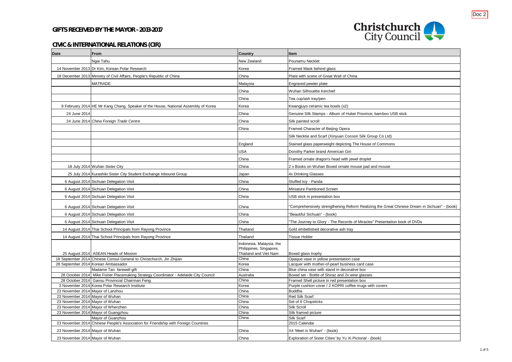

# **CIVIC & INTERNATIONAL RELATIONS (CIR)**

| <b>Date</b>                       | From                                                                                                           | <b>Country</b>                                      | <b>Item</b>                                                                                  |
|-----------------------------------|----------------------------------------------------------------------------------------------------------------|-----------------------------------------------------|----------------------------------------------------------------------------------------------|
|                                   | Ngai Tahu                                                                                                      | New Zealand                                         | Pounamu Necklet                                                                              |
|                                   | 14 November 2013 Dr Kim, Korean Polar Research                                                                 | Korea                                               | Framed Mask behind glass                                                                     |
|                                   | 18 December 2013 Ministry of Civil Affairs, People's Republic of China                                         | China                                               | Plate with scene of Great Wall of China                                                      |
|                                   | <b>MATRADE</b>                                                                                                 | Malaysia                                            | Engraved pewter plate                                                                        |
|                                   |                                                                                                                | China                                               | Wuhan Silhouette Kerchief                                                                    |
|                                   |                                                                                                                | China                                               | Tea cup/ash tray/pen                                                                         |
|                                   | 9 February 2014 HE Mr Kang Chang, Speaker of the House, National Assembly of Korea                             | Korea                                               | Kwangjuyo ceramic tea bowls (x2)                                                             |
| 24 June 2014                      |                                                                                                                | China                                               | Genuine Silk Stamps - Album of Hubei Province; bamboo USB stick                              |
|                                   | 24 June 2014 China Foreign Trade Centre                                                                        | China                                               | Silk painted scroll                                                                          |
|                                   |                                                                                                                | China                                               | Framed Character of Beijing Opera                                                            |
|                                   |                                                                                                                |                                                     | Silk Necktie and Scarf (Xinyuan Cocoon Silk Group Co Ltd)                                    |
|                                   |                                                                                                                | England                                             | Stained glass paperweight depicting The House of Commons                                     |
|                                   |                                                                                                                |                                                     |                                                                                              |
|                                   |                                                                                                                | <b>USA</b>                                          | Dorothy Parker brand American Gin                                                            |
|                                   |                                                                                                                | China                                               | Framed ornate dragon's head with jewel droplet                                               |
|                                   | 18 July 2014 Wuhan Sister City                                                                                 | China                                               | 2 x Books on Wuhan Boxed ornate mouse pad and mouse                                          |
|                                   | 25 July 2014 Kurashiki Sister City Student Exchange Inbound Group                                              | Japan                                               | 4x Drinking Glasses                                                                          |
|                                   | 6 August 2014 Sichuan Delegation Visit                                                                         | China                                               | Stuffed toy - Panda                                                                          |
|                                   | 6 August 2014 Sichuan Delegation Visit                                                                         | China                                               | Miniature Partitioned Screen                                                                 |
|                                   | 6 August 2014 Sichuan Delegation Visit                                                                         | China                                               | USB stick in presentation box                                                                |
|                                   | 6 August 2014 Sichuan Delegation Visit                                                                         | China                                               | "Comprehensively strengthening Reform Realizing the Great Chinese Dream in Sichuan" - (book) |
|                                   | 6 August 2014 Sichuan Delegation Visit                                                                         | China                                               | "Beautiful Sichuan" - (book)                                                                 |
|                                   | 6 August 2014 Sichuan Delegation Visit                                                                         | China                                               | "The Journey to Glory - The Records of Miracles" Presentation book of DVDs                   |
|                                   | 14 August 2014 Thai School Principals from Rayong Province                                                     | Thailand                                            | Gold embellished decorative ash tray                                                         |
|                                   | 14 August 2014 Thai School Principals from Rayong Province                                                     | Thailand                                            | <b>Tissue Holder</b>                                                                         |
|                                   |                                                                                                                | Indonesia, Malaysia, the<br>Philippines, Singapore, |                                                                                              |
|                                   | 25 August 2014 ASEAN Heads of Mission<br>18 September 2014 Chinese Consul-General to Christchurch, Jin Zhijian | Thailand and Viet Nam<br>China                      | Boxed glass trophy<br>Opaque vase in yellow presentation case                                |
|                                   | 28 September 2014 Korean Ambassador                                                                            | Korea                                               | Lacquer with mother-of-pearl business card case                                              |
|                                   | Madame Tan farewell gift                                                                                       | China                                               | Blue china vase with stand in decorative box                                                 |
|                                   | 28 October 2014   Mike Fisher Placemaking Strategy Coordinator - Adelaide City Council                         | Australia                                           | Boxed set - Bottle of Shiraz and 2x wine glasses                                             |
|                                   | 28 October 2014 Gansu Provincial Chairman Feng                                                                 | China                                               | Framed Shell picture in red presentation box                                                 |
|                                   | 3 November 2014 Korea Polar Research Institute                                                                 | Korea                                               | Purple cushion cover / 2 KOPRI coffee mugs with covers                                       |
| 23 November 2014 Mayor of Lanzhou |                                                                                                                | China                                               | <b>Buddha</b>                                                                                |
| 23 November 2014 Mayor of Wuhan   |                                                                                                                | China                                               | <b>Red Silk Scarf</b>                                                                        |
| 23 November 2014 Mayor of Wuhan   |                                                                                                                | China                                               | Set of 6 Chopsticks                                                                          |
|                                   | 23 November 2014 Mayor of Whenzhen                                                                             | China                                               | Silk Scroll                                                                                  |
|                                   | 23 November 2014 Mayor of Guangzhou                                                                            | China                                               | Silk framed picture                                                                          |
|                                   | Mayor of Guanzhou                                                                                              | China                                               | Silk Scarf                                                                                   |
|                                   | 23 November 2014 Chinese People's Association for Friendship with Foreign Countries                            |                                                     | 2015 Calendar                                                                                |
| 23 November 2014 Mayor of Wuhan   |                                                                                                                | China                                               | X4 'Meet in Wuhan" - (book)                                                                  |
| 23 November 2014 Mayor of Wuhan   |                                                                                                                | China                                               | Exploration of Sister Cities' by Yu Xi Pictorial - (book)                                    |



| D USB stick                             |
|-----------------------------------------|
|                                         |
|                                         |
| td)                                     |
| <u>nons</u>                             |
|                                         |
|                                         |
|                                         |
| sе                                      |
|                                         |
|                                         |
|                                         |
|                                         |
|                                         |
| reat Chinese Dream in Sichuan" - (book) |
|                                         |
| tation book of DVDs                     |
|                                         |
|                                         |
|                                         |
|                                         |
|                                         |
|                                         |
|                                         |
|                                         |
|                                         |
|                                         |
|                                         |
|                                         |
|                                         |
|                                         |
|                                         |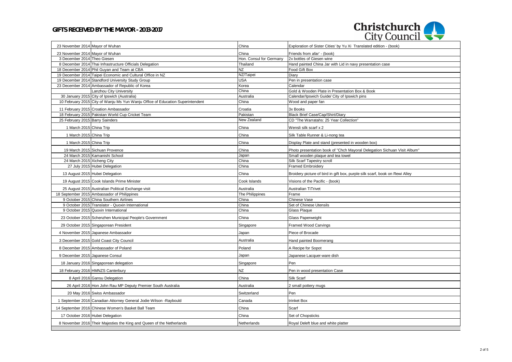| 23 November 2014 Mayor of Wuhan |                                                                                | China                   | Exploration of Sister Cities' by Yu Xi Translated edition - (book)          |
|---------------------------------|--------------------------------------------------------------------------------|-------------------------|-----------------------------------------------------------------------------|
| 23 November 2014 Mayor of Wuhan |                                                                                | China                   | Friends from afar' - (book)                                                 |
| 3 December 2014 Theo Giesen     |                                                                                | Hon. Consul for Germany | 2x bottles of Giesen wine                                                   |
|                                 | 8 December 2014 Thai Infrastructure Officials Delegation                       | Thailand                | Hand painted China Jar with Lid in navy presentation case                   |
|                                 | 18 December 2014 Phil Guyan and Team at CBA                                    | $\overline{NZ}$         | Food Gift Box                                                               |
|                                 | 19 December 2014 Taipei Economic and Cultural Office in NZ                     | NZ/Taipei               | <b>Diary</b>                                                                |
|                                 | 19 December 2014 Standford University Study Group                              | <b>USA</b>              | Pen in presentation case                                                    |
|                                 | 23 December 2014 Ambassador of Republic of Korea                               | Korea                   | Calendar                                                                    |
|                                 | Lanzhou City University                                                        | China                   | Gold & Wooden Plate in Presentation Box & Book                              |
|                                 | 30 January 2015 City of Ipswich (Australia)                                    | Australia               | Calendar/Ipswich Guide/ City of Ipswich pins                                |
|                                 | 10 February 2015 City of Wanju Ms Yun Wanju Office of Education Superintendent | China                   | Wood and paper fan                                                          |
|                                 | 11 February 2015 Croation Ambassador                                           | Croatia                 | 3x Books                                                                    |
|                                 | 18 February 2015 Pakistan World Cup Cricket Team                               | Pakistan                | Black Brief Case/Cap/Shirt/Diary                                            |
| 25 February 2015 Barry Sainders |                                                                                | New Zealand             | CD "The Warratahs: 25 Year Collection"                                      |
| 1 March 2015 China Trip         |                                                                                | China                   | Wensli silk scarf x 2                                                       |
|                                 |                                                                                |                         |                                                                             |
| 1 March 2015 China Trip         |                                                                                | China                   | Silk Table Runner & Li-nong tea                                             |
| 1 March 2015 China Trip         |                                                                                | China                   | Display Plate and stand (presented in wooden box)                           |
|                                 | 19 March 2015 Sichuan Provence                                                 | China                   | Photo presentation book of "Chch Mayoral Delegation Sichuan Visit Album"    |
|                                 | 24 March 2015 Kamanishi School                                                 | Japan                   | Small wooden plaque and tea towel                                           |
| 24 March 2015 Xicheng City      |                                                                                | China                   | Silk Scarf Tapestry scroll                                                  |
|                                 | 27 July 2015 Hubei Delegation                                                  | China                   | <b>Framed Embroidery</b>                                                    |
|                                 | 13 August 2015 Hubei Delegation                                                | China                   | Broidery picture of bird in gift box, purple silk scarf, book on Rewi Alley |
|                                 | 19 August 2015 Cook Islands Prime Minister                                     | Cook Islands            | Visions of the Pacific - (book)                                             |
|                                 | 25 August 2015 Australian Political Exchange visit                             | Australia               | <b>Australian TiTrivet</b>                                                  |
|                                 | 18 September 2015 Ambassador of Philippines                                    | The Philippines         | Frame                                                                       |
|                                 | 9 October 2015 China Southern Airlines                                         | China                   | <b>Chinese Vase</b>                                                         |
|                                 | 9 October 2015 Translator - Quoxin International                               | China                   | Set of Chinese Utensils                                                     |
|                                 | 9 October 2015 Quoxin International                                            | China                   | <b>Glass Plaque</b>                                                         |
|                                 | 23 October 2015 Schenzhen Municipal People's Government                        | China                   | Glass Paperweight                                                           |
|                                 | 29 October 2015 Singaporean President                                          | Singapore               | <b>Framed Wood Carvings</b>                                                 |
|                                 | 4 November 2015 Japanese Ambassador                                            | Japan                   | Piece of Brocade                                                            |
|                                 | 3 December 2015 Gold Coast City Council                                        | Australia               | Hand painted Boomerang                                                      |
|                                 | 8 December 2015 Ambassador of Poland                                           | Poland                  | A Recipe for Sopot                                                          |
| 9 December 2015 Japanese Consul |                                                                                | Japan                   | Japanese Lacquer-ware dish                                                  |
|                                 | 18 January 2016 Singaporean delegation                                         | Singapore               | Pen                                                                         |
|                                 | 18 February 2016 HMNZS Canterbury                                              | NZ                      | Pen in wood presentation Case                                               |
|                                 | 8 April 2016 Gansu Delegation                                                  | China                   | Silk Scarf                                                                  |
|                                 | 26 April 2016 Hon John Rau MP Deputy Premier South Australia                   | Australia               | 2 small pottery mugs                                                        |
|                                 | 20 May 2016 Swiss Ambassador                                                   | Switzerland             | Pen                                                                         |
|                                 | 1 September 2016 Canadian Attorney General Jodie Wilson - Raybould             | Canada                  | trinket Box                                                                 |
|                                 | 14 September 2016 Chinese Women's Basket Ball Team                             | China                   | Scarf                                                                       |
|                                 | 17 October 2016 Hubei Delegation                                               | China                   | Set of Chopsticks                                                           |
|                                 | 8 November 2016 Their Majesties the King and Queen of the Netherlands          | Netherlands             | Royal Deleft blue and white platter                                         |
|                                 |                                                                                |                         |                                                                             |

| Christchurch<br>$\overline{\mathcal{L}}$<br><b>City Council</b> |
|-----------------------------------------------------------------|
| i Translated edition - (book)                                   |
|                                                                 |
|                                                                 |
| havy presentation case                                          |
|                                                                 |
|                                                                 |
|                                                                 |
| on Box & Book                                                   |
| wich pins                                                       |
|                                                                 |
|                                                                 |
|                                                                 |
| tion"                                                           |
|                                                                 |
|                                                                 |
| in wooden box)                                                  |
|                                                                 |
| "layoral Delegation Sichuan Visit Album                         |
|                                                                 |
|                                                                 |
| urple silk scarf, book on Rewi Alley                            |
|                                                                 |
|                                                                 |
|                                                                 |
|                                                                 |
|                                                                 |
|                                                                 |
|                                                                 |
|                                                                 |
|                                                                 |
|                                                                 |
|                                                                 |
|                                                                 |
|                                                                 |
|                                                                 |
|                                                                 |
|                                                                 |
|                                                                 |
|                                                                 |
|                                                                 |
|                                                                 |
|                                                                 |
|                                                                 |
|                                                                 |
|                                                                 |
|                                                                 |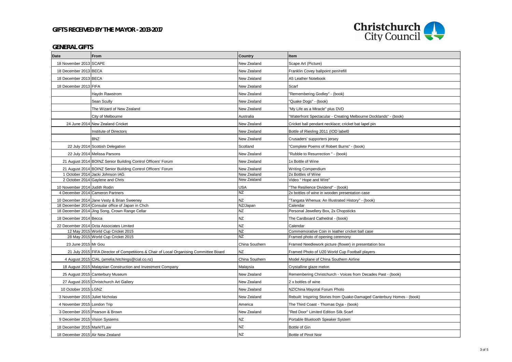# **GENERAL GIFTS**

| <b>Date</b>                      | From                                                                                   | <b>Country</b> | ltem                                                                    |
|----------------------------------|----------------------------------------------------------------------------------------|----------------|-------------------------------------------------------------------------|
| 18 November 2013 SCAPE           |                                                                                        | New Zealand    | Scape Art (Picture)                                                     |
| 18 December 2013 BECA            |                                                                                        | New Zealand    | Franklin Covey ballpoint pen/refill                                     |
| 18 December 2013 BECA            |                                                                                        | New Zealand    | A5 Leather Notebook                                                     |
| 18 December 2013 FIFA            |                                                                                        | New Zealand    | Scarf                                                                   |
|                                  | Haydn Rawstrom                                                                         | New Zealand    | 'Remembering Godley" - (book)                                           |
|                                  | Sean Scully                                                                            | New Zealand    | "Quake Dogs" - (book)                                                   |
|                                  | The Wizard of New Zealand                                                              | New Zealand    | "My Life as a Miracle" plus DVD                                         |
|                                  | City of Melbourne                                                                      | Australia      | "Waterfront Spectacular - Creating Melbourne Docklands" - (book)        |
|                                  | 24 June 2014 New Zealand Cricket                                                       | New Zealand    | Cricket ball pendant necklace; cricket bat lapel pin                    |
|                                  | Institute of Directors                                                                 | New Zealand    |                                                                         |
|                                  |                                                                                        |                | Bottle of Riesling 2011 (IOD label0                                     |
|                                  | <b>BNZ</b>                                                                             | New Zealand    | Crusaders' supporters jersey                                            |
|                                  | 22 July 2014 Scottish Delegation                                                       | Scotland       | 'Complete Poems of Robert Burns" - (book)                               |
|                                  | 22 July 2014 Melissa Parsons                                                           | New Zealand    | 'Rubble to Resurrection " - (book)                                      |
|                                  | 21 August 2014 BOINZ Senior Building Control Officers' Forum                           | New Zealand    | 1x Bottle of Wine                                                       |
|                                  | 21 August 2014 BOINZ Senior Building Control Officers' Forum                           | New Zealand    | <b>Writing Compendium</b>                                               |
|                                  | 1 October 2014 Jacki Johnson IAG                                                       | New Zealand    | 2x Bottles of Wine                                                      |
|                                  | 2 October 2014 Gaylene and Chris                                                       | New Zealand    | Video " Hope and Wire"                                                  |
| 10 November 2014 Judith Rodin    |                                                                                        | <b>USA</b>     | 'The Resilience Dividend" - (book)                                      |
|                                  | 4 December 2014 Cameron Partners                                                       | <b>NZ</b>      | 2x bottles of wine in wooden presentation case                          |
|                                  | 10 December 2014 Jane Vesty & Brian Sweeney                                            | <b>NZ</b>      | Tangata Whenua: An Illustrated History" - (book)                        |
|                                  | 18 December 2014 Consular office of Japan in Chch                                      | NZ/Japan       | Calendar                                                                |
|                                  | 18 December 2014 Jing Song, Crown Range Cellar                                         | <b>NZ</b>      | Personal Jewellery Box, 2x Chopsticks                                   |
| 18 December 2014 Becca           |                                                                                        | <b>NZ</b>      | The Cardboard Cathedral - (book)                                        |
|                                  | 22 December 2014 Octa Associates Limited                                               | <b>NZ</b>      | Calendar                                                                |
|                                  | 12 May 2015 World Cup Cricket 2015                                                     | <b>NZ</b>      | Commemorative Coin in leather cricket ball case                         |
|                                  | 28 May 2015 World Cup Cricket 2015                                                     | <b>NZ</b>      | Framed photo of opening ceremony                                        |
| 23 June 2015 Mr Gou              |                                                                                        | China Southern | Framed Needlework picture (flower) in presentation box                  |
|                                  | 21 July 2015 FIFA Director of Competitions & Chair of Local Organising Committee Board | <b>NZ</b>      | Framed Photo of U20 World Cup Football players                          |
|                                  | 4 August 2015 CIAL (amelia.hitchings@cial.co.nz)                                       | China Southern | Model Airplane of China Southern Airline                                |
|                                  | 18 August 2015 Malaysian Construction and Investment Company                           | Malaysia       | Crystalline glaze melon                                                 |
|                                  | 25 August 2015 Canterbury Museum                                                       | New Zealand    | Remembering Christchurch - Voices from Decades Past - (book)            |
|                                  | 27 August 2015 Christchurch Art Gallery                                                | New Zealand    | 2 x bottles of wine                                                     |
| 10 October 2015 LGNZ             |                                                                                        | New Zealand    | NZ/China Mayoral Forum Photo                                            |
| 3 November 2015 Juliet Nicholas  |                                                                                        | New Zealand    | Rebuilt: Inspiring Stories from Quake-Damaged Canterbury Homes - (book) |
| 4 November 2015 London Trip      |                                                                                        | America        | The Third Coast - Thomas Dyja - (book)                                  |
| 3 December 2015 Pearson & Brown  |                                                                                        | New Zealand    | 'Red Door" Limited Edition Silk Scarf                                   |
| 9 December 2015 Vision Systems   |                                                                                        | <b>NZ</b>      | Portable Bluetooth Speaker System                                       |
| 18 December 2015 MarkITLaw       |                                                                                        | <b>NZ</b>      | Bottle of Gin                                                           |
| 18 December 2015 Air New Zealand |                                                                                        | <b>NZ</b>      | Bottle of Pinot Noir                                                    |
|                                  |                                                                                        |                |                                                                         |



| " - (book)         |
|--------------------|
|                    |
|                    |
|                    |
|                    |
|                    |
|                    |
|                    |
|                    |
|                    |
|                    |
|                    |
|                    |
|                    |
|                    |
|                    |
|                    |
|                    |
|                    |
|                    |
|                    |
|                    |
|                    |
| $-(book)$          |
|                    |
|                    |
| ury Homes - (book) |
|                    |
|                    |
|                    |
|                    |
|                    |
|                    |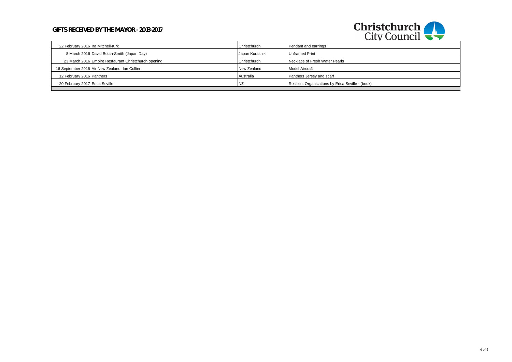| 22 February 2016 Ira Mitchell-Kirk |                                                      | Christchurch    | Pendant and earrings                              |
|------------------------------------|------------------------------------------------------|-----------------|---------------------------------------------------|
|                                    | 8 March 2016 David Bolan-Smith (Japan Day)           | Japan Kurashiki | <b>Unframed Print</b>                             |
|                                    | 23 March 2016 Empire Restaurant Christchurch opening | Christchurch    | Necklace of Fresh Water Pearls                    |
|                                    | 16 September 2016 Air New Zealand Ian Collier        | New Zealand     | Model Aircraft                                    |
| 12 February 2016 Panthers          |                                                      | Australia       | Panthers Jersey and scarf                         |
| 20 February 2017 Erica Seville     |                                                      | INZ             | Resilient Organizations by Erica Seville - (book) |
|                                    |                                                      |                 |                                                   |



4 of 5